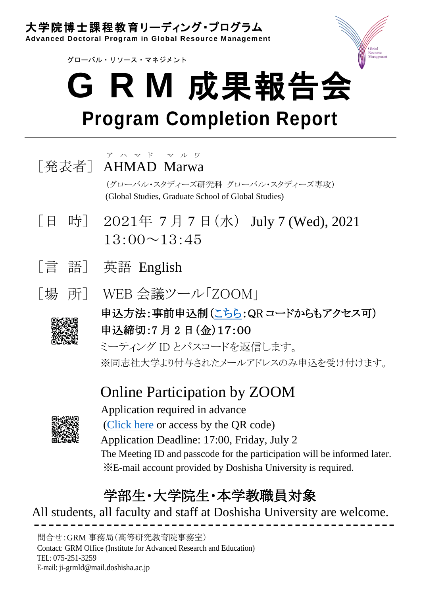## 大学院博士課程教育リーディング・プログラム

**Advanced Doctoral Program in Global Resource Management**

グローバル・ リソース・ マネジメント



## **G R M** 成果報告会 **Program Completion Report**



(グローバル・スタディーズ研究科 グローバル・スタディーズ専攻) (Global Studies, Graduate School of Global Studies)

- [日 時] 2021年 7 月 7 日(水) July 7 (Wed), 2021 13:00~13:45
- [言 語] 英語 English
- [場 所] WEB 会議ツール「ZOOM」



申込方法:事前申込制[\(こちら:](https://grm.doshisha.ac.jp/jpn/information/view.php?c=news_events_1&pk=1623909295)QR コードからもアクセス可) 申込締切:7 月 2 日(金)17:00

ミーティング ID とパスコードを返信します。 ※同志社大学より付与されたメールアドレスのみ申込を受け付けます。

## Online Participation by ZOOM



Application required in advance [\(Click here](https://grm.doshisha.ac.jp/eng/information/view.php?c=news_events_1&pk=1623991891) or access by the QR code) Application Deadline: 17:00, Friday, July 2 The Meeting ID and passcode for the participation will be informed later. ※E-mail account provided by Doshisha University is required.

## 学部生・大学院生・本学教職員対象

All students, all faculty and staff at Doshisha University are welcome. --------------------------------------------------

問合せ:GRM 事務局(高等研究教育院事務室) Contact: GRM Office (Institute for Advanced Research and Education) TEL: 075-251-3259 E-mail: ji-grmld@mail.doshisha.ac.jp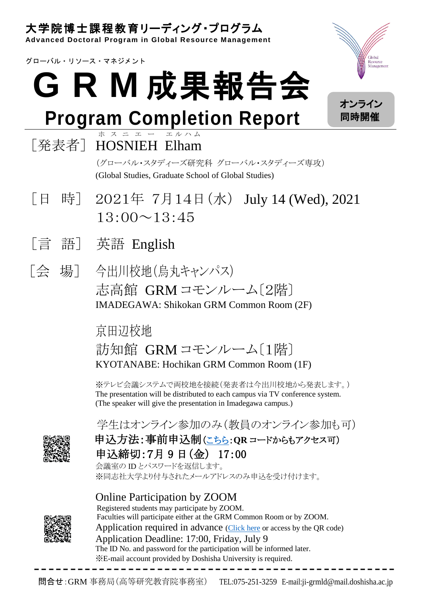## 大学院博士課程教育リーディング・プログラム

**Advanced Doctoral Program in Global Resource Management**

グローバル・ リソース・ マネジメント

# **G R M** 成果報告会

## **Program Completion Report**

#### [発表者] HOSNIEH Elham ホ ス ニ エ ー エ ル ハ ム

(グローバル・スタディーズ研究科 グローバル・スタディーズ専攻) (Global Studies, Graduate School of Global Studies)

- [日 時] 2021年 7月14日(水) July 14 (Wed), 2021 13:00~13:45
- [言 語] 英語 English
- [会 場] 今出川校地(烏丸キャンパス) 志高館 GRM コモンルーム〔2階〕 IMADEGAWA: Shikokan GRM Common Room (2F)

## 京田辺校地 訪知館 GRM コモンルーム〔1階〕 KYOTANABE: Hochikan GRM Common Room (1F)

※テレビ会議システムで両校地を接続(発表者は今出川校地から発表します。) The presentation will be distributed to each campus via TV conference system. (The speaker will give the presentation in Imadegawa campus.)

学生はオンライン参加のみ(教員のオンライン参加も可)

申込方法:事前申込制[\(こちら:](https://grm.doshisha.ac.jp/jpn/information/view.php?c=news_events_1&pk=1623909295)**QR** コードからもアクセス可) 申込締切:7月 9 日(金) 17:00

会議室の ID とパスワードを返信します。 ※同志社大学より付与されたメールアドレスのみ申込を受け付けます。

### Online Participation by ZOOM



Registered students may participate by ZOOM. Faculties will participate either at the GRM Common Room or by ZOOM. Application required in advance [\(Click here](https://grm.doshisha.ac.jp/eng/information/view.php?c=news_events_1&pk=1623991891) or access by the QR code) Application Deadline: 17:00, Friday, July 9 The ID No. and password for the participation will be informed later. ※E-mail account provided by Doshisha University is required. --------------------------------------------------